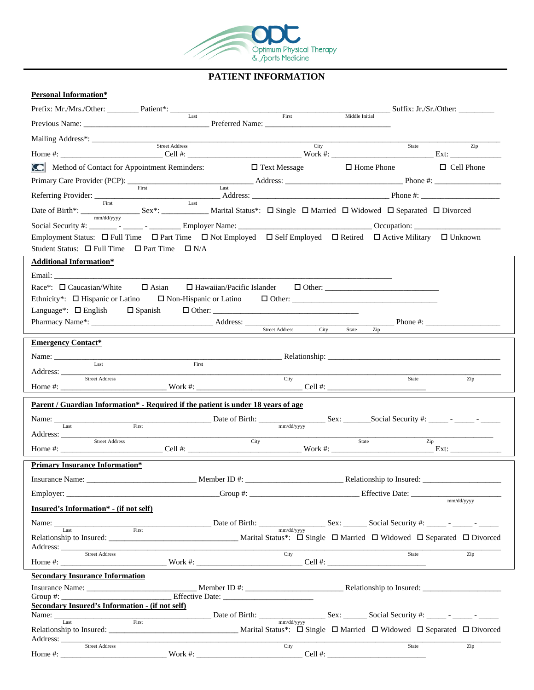

# **PATIENT INFORMATION**

## **Personal Information\***

|                                                                                                                                                                                                                                                                                                                                                                                                                                    |                                                                                                                                                                                                                                     |                     | Suffix: Jr./Sr./Other:                                                                                                                                                                                                                                                                                              |                   |
|------------------------------------------------------------------------------------------------------------------------------------------------------------------------------------------------------------------------------------------------------------------------------------------------------------------------------------------------------------------------------------------------------------------------------------|-------------------------------------------------------------------------------------------------------------------------------------------------------------------------------------------------------------------------------------|---------------------|---------------------------------------------------------------------------------------------------------------------------------------------------------------------------------------------------------------------------------------------------------------------------------------------------------------------|-------------------|
|                                                                                                                                                                                                                                                                                                                                                                                                                                    |                                                                                                                                                                                                                                     | First               | Middle Initial                                                                                                                                                                                                                                                                                                      |                   |
|                                                                                                                                                                                                                                                                                                                                                                                                                                    |                                                                                                                                                                                                                                     |                     |                                                                                                                                                                                                                                                                                                                     |                   |
|                                                                                                                                                                                                                                                                                                                                                                                                                                    |                                                                                                                                                                                                                                     | City                | State Zip                                                                                                                                                                                                                                                                                                           |                   |
| Method of Contact for Appointment Reminders:                                                                                                                                                                                                                                                                                                                                                                                       |                                                                                                                                                                                                                                     | $\Box$ Text Message | $\Box$ Home Phone                                                                                                                                                                                                                                                                                                   | $\Box$ Cell Phone |
|                                                                                                                                                                                                                                                                                                                                                                                                                                    |                                                                                                                                                                                                                                     |                     | Primary Care Provider (PCP): <u>First</u> Address: <u>Last</u> Address: <u>Address: Phone #: 2000 Phone #: 2000 Phone #: 2000 Phone #: 2000 Phone #: 2000 Phone #: 2000 Phone #: 2000 Phone #: 2000 Phone #: 2000 Phone #: 2000 Phone #: 2</u>                                                                      |                   |
|                                                                                                                                                                                                                                                                                                                                                                                                                                    |                                                                                                                                                                                                                                     |                     |                                                                                                                                                                                                                                                                                                                     |                   |
|                                                                                                                                                                                                                                                                                                                                                                                                                                    |                                                                                                                                                                                                                                     |                     | Date of Birth <sup>*</sup> : First External Status Last Marital Status *: $\Box$ Single $\Box$ Married $\Box$ Widowed $\Box$ Separated $\Box$ Divorced                                                                                                                                                              |                   |
|                                                                                                                                                                                                                                                                                                                                                                                                                                    |                                                                                                                                                                                                                                     |                     |                                                                                                                                                                                                                                                                                                                     |                   |
|                                                                                                                                                                                                                                                                                                                                                                                                                                    |                                                                                                                                                                                                                                     |                     | Employment Status: $\Box$ Full Time $\Box$ Part Time $\Box$ Not Employed $\Box$ Self Employed $\Box$ Retired $\Box$ Active Military $\Box$ Unknown                                                                                                                                                                  |                   |
| Student Status: $\Box$ Full Time $\Box$ Part Time $\Box$ N/A                                                                                                                                                                                                                                                                                                                                                                       |                                                                                                                                                                                                                                     |                     |                                                                                                                                                                                                                                                                                                                     |                   |
| <b>Additional Information*</b>                                                                                                                                                                                                                                                                                                                                                                                                     |                                                                                                                                                                                                                                     |                     |                                                                                                                                                                                                                                                                                                                     |                   |
| Email: The contract of the contract of the contract of the contract of the contract of the contract of the contract of the contract of the contract of the contract of the contract of the contract of the contract of the con                                                                                                                                                                                                     |                                                                                                                                                                                                                                     |                     |                                                                                                                                                                                                                                                                                                                     |                   |
| Race*: $\Box$ Caucasian/White $\Box$ Asian                                                                                                                                                                                                                                                                                                                                                                                         |                                                                                                                                                                                                                                     |                     |                                                                                                                                                                                                                                                                                                                     |                   |
| Ethnicity*: $\Box$ Hispanic or Latino                                                                                                                                                                                                                                                                                                                                                                                              |                                                                                                                                                                                                                                     |                     |                                                                                                                                                                                                                                                                                                                     |                   |
| Language <sup>*</sup> : $\Box$ English $\Box$ Spanish                                                                                                                                                                                                                                                                                                                                                                              |                                                                                                                                                                                                                                     |                     |                                                                                                                                                                                                                                                                                                                     |                   |
|                                                                                                                                                                                                                                                                                                                                                                                                                                    |                                                                                                                                                                                                                                     |                     |                                                                                                                                                                                                                                                                                                                     |                   |
| <b>Emergency Contact*</b>                                                                                                                                                                                                                                                                                                                                                                                                          |                                                                                                                                                                                                                                     |                     |                                                                                                                                                                                                                                                                                                                     |                   |
| Name: $\frac{1}{\sqrt{1-\frac{1}{2}}\cdot\sqrt{1-\frac{1}{2}}\cdot\sqrt{1-\frac{1}{2}}\cdot\sqrt{1-\frac{1}{2}}\cdot\sqrt{1-\frac{1}{2}}\cdot\sqrt{1-\frac{1}{2}}\cdot\sqrt{1-\frac{1}{2}}\cdot\sqrt{1-\frac{1}{2}}\cdot\sqrt{1-\frac{1}{2}}\cdot\sqrt{1-\frac{1}{2}}\cdot\sqrt{1-\frac{1}{2}}\cdot\sqrt{1-\frac{1}{2}}\cdot\sqrt{1-\frac{1}{2}}\cdot\sqrt{1-\frac{1}{2}}\cdot\sqrt{1-\frac{1}{2}}\cdot\sqrt{1-\frac{1}{2}}\cdot\$ |                                                                                                                                                                                                                                     |                     |                                                                                                                                                                                                                                                                                                                     |                   |
| Last<br>Address:                                                                                                                                                                                                                                                                                                                                                                                                                   | First                                                                                                                                                                                                                               |                     |                                                                                                                                                                                                                                                                                                                     |                   |
| Street Address                                                                                                                                                                                                                                                                                                                                                                                                                     |                                                                                                                                                                                                                                     | City                | State                                                                                                                                                                                                                                                                                                               | Zip               |
| <u>Parent / Guardian Information* - Required if the patient is under 18 years of age</u>                                                                                                                                                                                                                                                                                                                                           |                                                                                                                                                                                                                                     |                     |                                                                                                                                                                                                                                                                                                                     |                   |
|                                                                                                                                                                                                                                                                                                                                                                                                                                    |                                                                                                                                                                                                                                     |                     |                                                                                                                                                                                                                                                                                                                     |                   |
| Last                                                                                                                                                                                                                                                                                                                                                                                                                               | First                                                                                                                                                                                                                               | mm/dd/yyyy          |                                                                                                                                                                                                                                                                                                                     |                   |
| Street Address                                                                                                                                                                                                                                                                                                                                                                                                                     |                                                                                                                                                                                                                                     | City                | State<br>Zip                                                                                                                                                                                                                                                                                                        |                   |
| <b>Primary Insurance Information*</b>                                                                                                                                                                                                                                                                                                                                                                                              |                                                                                                                                                                                                                                     |                     |                                                                                                                                                                                                                                                                                                                     |                   |
|                                                                                                                                                                                                                                                                                                                                                                                                                                    |                                                                                                                                                                                                                                     |                     |                                                                                                                                                                                                                                                                                                                     |                   |
| Employer: $\frac{1}{2}$                                                                                                                                                                                                                                                                                                                                                                                                            |                                                                                                                                                                                                                                     |                     |                                                                                                                                                                                                                                                                                                                     |                   |
| Insured's Information* - (if not self)                                                                                                                                                                                                                                                                                                                                                                                             |                                                                                                                                                                                                                                     |                     |                                                                                                                                                                                                                                                                                                                     | mm/dd/yyyy        |
|                                                                                                                                                                                                                                                                                                                                                                                                                                    |                                                                                                                                                                                                                                     |                     |                                                                                                                                                                                                                                                                                                                     |                   |
|                                                                                                                                                                                                                                                                                                                                                                                                                                    |                                                                                                                                                                                                                                     |                     |                                                                                                                                                                                                                                                                                                                     |                   |
|                                                                                                                                                                                                                                                                                                                                                                                                                                    | Address: <u>Street Address</u> (Contact Address Contact Address Contact Address Contact Address Contact Address Contact Address Contact Address Contact Address Contact Address Contact Address Contact Address Contact Address Con | <b>City</b>         | State                                                                                                                                                                                                                                                                                                               | $\overline{Zip}$  |
|                                                                                                                                                                                                                                                                                                                                                                                                                                    |                                                                                                                                                                                                                                     |                     |                                                                                                                                                                                                                                                                                                                     |                   |
| <b>Secondary Insurance Information</b>                                                                                                                                                                                                                                                                                                                                                                                             |                                                                                                                                                                                                                                     |                     |                                                                                                                                                                                                                                                                                                                     |                   |
|                                                                                                                                                                                                                                                                                                                                                                                                                                    |                                                                                                                                                                                                                                     |                     |                                                                                                                                                                                                                                                                                                                     |                   |
| Secondary Insured's Information - (if not self)                                                                                                                                                                                                                                                                                                                                                                                    |                                                                                                                                                                                                                                     |                     |                                                                                                                                                                                                                                                                                                                     |                   |
|                                                                                                                                                                                                                                                                                                                                                                                                                                    |                                                                                                                                                                                                                                     |                     | $\frac{1}{2}$ $\frac{1}{2}$ $\frac{1}{2}$ $\frac{1}{2}$ $\frac{1}{2}$ $\frac{1}{2}$ $\frac{1}{2}$ $\frac{1}{2}$ $\frac{1}{2}$ $\frac{1}{2}$ $\frac{1}{2}$ $\frac{1}{2}$ $\frac{1}{2}$ $\frac{1}{2}$ $\frac{1}{2}$ $\frac{1}{2}$ $\frac{1}{2}$ $\frac{1}{2}$ $\frac{1}{2}$ $\frac{1}{2}$ $\frac{1}{2}$ $\frac{1}{2}$ |                   |
| Last                                                                                                                                                                                                                                                                                                                                                                                                                               |                                                                                                                                                                                                                                     |                     |                                                                                                                                                                                                                                                                                                                     |                   |
|                                                                                                                                                                                                                                                                                                                                                                                                                                    |                                                                                                                                                                                                                                     |                     |                                                                                                                                                                                                                                                                                                                     |                   |
|                                                                                                                                                                                                                                                                                                                                                                                                                                    |                                                                                                                                                                                                                                     | City                | State                                                                                                                                                                                                                                                                                                               | $\overline{Zip}$  |